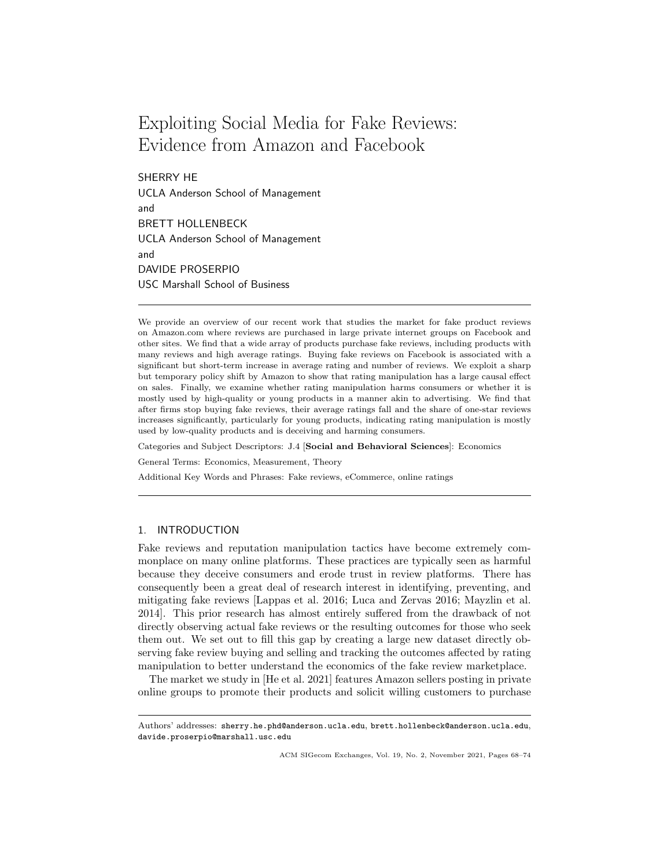# Exploiting Social Media for Fake Reviews: Evidence from Amazon and Facebook

SHERRY HE UCLA Anderson School of Management and BRETT HOLLENBECK UCLA Anderson School of Management and DAVIDE PROSERPIO USC Marshall School of Business

We provide an overview of our recent work that studies the market for fake product reviews on Amazon.com where reviews are purchased in large private internet groups on Facebook and other sites. We find that a wide array of products purchase fake reviews, including products with many reviews and high average ratings. Buying fake reviews on Facebook is associated with a significant but short-term increase in average rating and number of reviews. We exploit a sharp but temporary policy shift by Amazon to show that rating manipulation has a large causal effect on sales. Finally, we examine whether rating manipulation harms consumers or whether it is mostly used by high-quality or young products in a manner akin to advertising. We find that after firms stop buying fake reviews, their average ratings fall and the share of one-star reviews increases significantly, particularly for young products, indicating rating manipulation is mostly used by low-quality products and is deceiving and harming consumers.

Categories and Subject Descriptors: J.4 [Social and Behavioral Sciences]: Economics

General Terms: Economics, Measurement, Theory

Additional Key Words and Phrases: Fake reviews, eCommerce, online ratings

# 1. INTRODUCTION

Fake reviews and reputation manipulation tactics have become extremely commonplace on many online platforms. These practices are typically seen as harmful because they deceive consumers and erode trust in review platforms. There has consequently been a great deal of research interest in identifying, preventing, and mitigating fake reviews [Lappas et al. 2016; Luca and Zervas 2016; Mayzlin et al. 2014]. This prior research has almost entirely suffered from the drawback of not directly observing actual fake reviews or the resulting outcomes for those who seek them out. We set out to fill this gap by creating a large new dataset directly observing fake review buying and selling and tracking the outcomes affected by rating manipulation to better understand the economics of the fake review marketplace.

The market we study in [He et al. 2021] features Amazon sellers posting in private online groups to promote their products and solicit willing customers to purchase

Authors' addresses: sherry.he.phd@anderson.ucla.edu, brett.hollenbeck@anderson.ucla.edu, davide.proserpio@marshall.usc.edu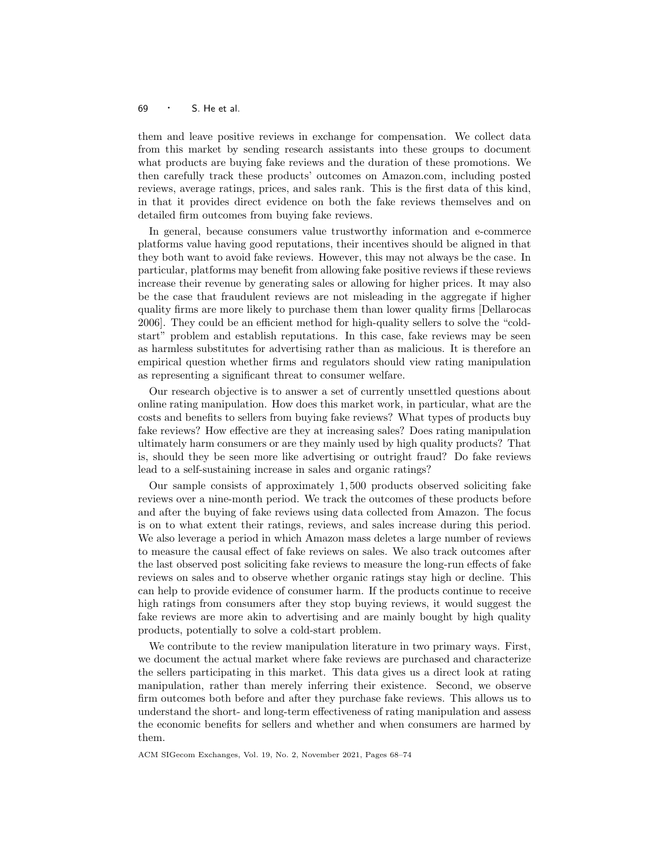## <sup>69</sup> · S. He et al.

them and leave positive reviews in exchange for compensation. We collect data from this market by sending research assistants into these groups to document what products are buying fake reviews and the duration of these promotions. We then carefully track these products' outcomes on Amazon.com, including posted reviews, average ratings, prices, and sales rank. This is the first data of this kind, in that it provides direct evidence on both the fake reviews themselves and on detailed firm outcomes from buying fake reviews.

In general, because consumers value trustworthy information and e-commerce platforms value having good reputations, their incentives should be aligned in that they both want to avoid fake reviews. However, this may not always be the case. In particular, platforms may benefit from allowing fake positive reviews if these reviews increase their revenue by generating sales or allowing for higher prices. It may also be the case that fraudulent reviews are not misleading in the aggregate if higher quality firms are more likely to purchase them than lower quality firms [Dellarocas 2006]. They could be an efficient method for high-quality sellers to solve the "coldstart" problem and establish reputations. In this case, fake reviews may be seen as harmless substitutes for advertising rather than as malicious. It is therefore an empirical question whether firms and regulators should view rating manipulation as representing a significant threat to consumer welfare.

Our research objective is to answer a set of currently unsettled questions about online rating manipulation. How does this market work, in particular, what are the costs and benefits to sellers from buying fake reviews? What types of products buy fake reviews? How effective are they at increasing sales? Does rating manipulation ultimately harm consumers or are they mainly used by high quality products? That is, should they be seen more like advertising or outright fraud? Do fake reviews lead to a self-sustaining increase in sales and organic ratings?

Our sample consists of approximately 1, 500 products observed soliciting fake reviews over a nine-month period. We track the outcomes of these products before and after the buying of fake reviews using data collected from Amazon. The focus is on to what extent their ratings, reviews, and sales increase during this period. We also leverage a period in which Amazon mass deletes a large number of reviews to measure the causal effect of fake reviews on sales. We also track outcomes after the last observed post soliciting fake reviews to measure the long-run effects of fake reviews on sales and to observe whether organic ratings stay high or decline. This can help to provide evidence of consumer harm. If the products continue to receive high ratings from consumers after they stop buying reviews, it would suggest the fake reviews are more akin to advertising and are mainly bought by high quality products, potentially to solve a cold-start problem.

We contribute to the review manipulation literature in two primary ways. First, we document the actual market where fake reviews are purchased and characterize the sellers participating in this market. This data gives us a direct look at rating manipulation, rather than merely inferring their existence. Second, we observe firm outcomes both before and after they purchase fake reviews. This allows us to understand the short- and long-term effectiveness of rating manipulation and assess the economic benefits for sellers and whether and when consumers are harmed by them.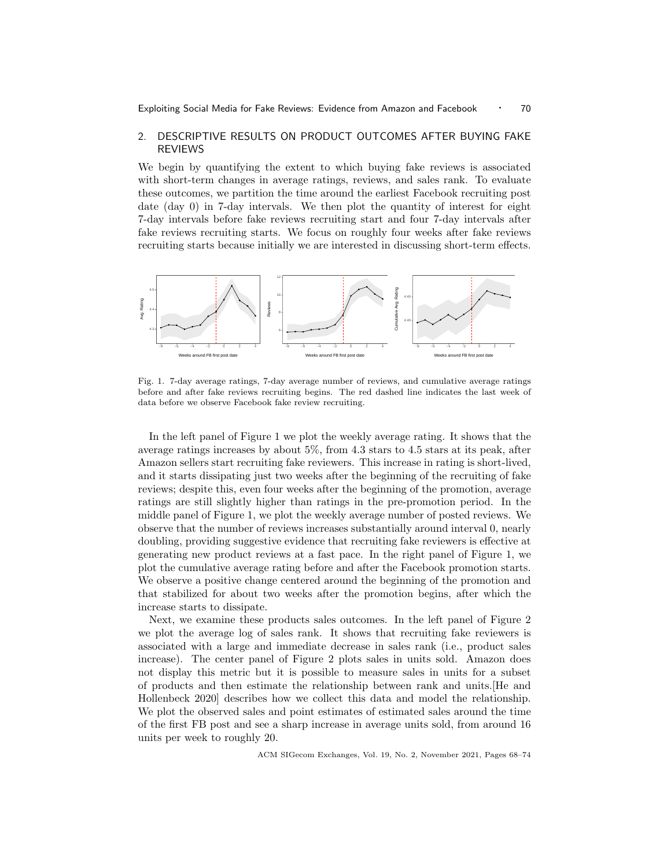# 2. DESCRIPTIVE RESULTS ON PRODUCT OUTCOMES AFTER BUYING FAKE REVIEWS

We begin by quantifying the extent to which buying fake reviews is associated with short-term changes in average ratings, reviews, and sales rank. To evaluate these outcomes, we partition the time around the earliest Facebook recruiting post date (day 0) in 7-day intervals. We then plot the quantity of interest for eight 7-day intervals before fake reviews recruiting start and four 7-day intervals after fake reviews recruiting starts. We focus on roughly four weeks after fake reviews recruiting starts because initially we are interested in discussing short-term effects.



Fig. 1. 7-day average ratings, 7-day average number of reviews, and cumulative average ratings before and after fake reviews recruiting begins. The red dashed line indicates the last week of data before we observe Facebook fake review recruiting.

In the left panel of Figure 1 we plot the weekly average rating. It shows that the average ratings increases by about 5%, from 4.3 stars to 4.5 stars at its peak, after Amazon sellers start recruiting fake reviewers. This increase in rating is short-lived, and it starts dissipating just two weeks after the beginning of the recruiting of fake reviews; despite this, even four weeks after the beginning of the promotion, average ratings are still slightly higher than ratings in the pre-promotion period. In the middle panel of Figure 1, we plot the weekly average number of posted reviews. We observe that the number of reviews increases substantially around interval 0, nearly doubling, providing suggestive evidence that recruiting fake reviewers is effective at generating new product reviews at a fast pace. In the right panel of Figure 1, we plot the cumulative average rating before and after the Facebook promotion starts. We observe a positive change centered around the beginning of the promotion and that stabilized for about two weeks after the promotion begins, after which the increase starts to dissipate.

Next, we examine these products sales outcomes. In the left panel of Figure 2 we plot the average log of sales rank. It shows that recruiting fake reviewers is associated with a large and immediate decrease in sales rank (i.e., product sales increase). The center panel of Figure 2 plots sales in units sold. Amazon does not display this metric but it is possible to measure sales in units for a subset of products and then estimate the relationship between rank and units.[He and Hollenbeck 2020] describes how we collect this data and model the relationship. We plot the observed sales and point estimates of estimated sales around the time of the first FB post and see a sharp increase in average units sold, from around 16 units per week to roughly 20.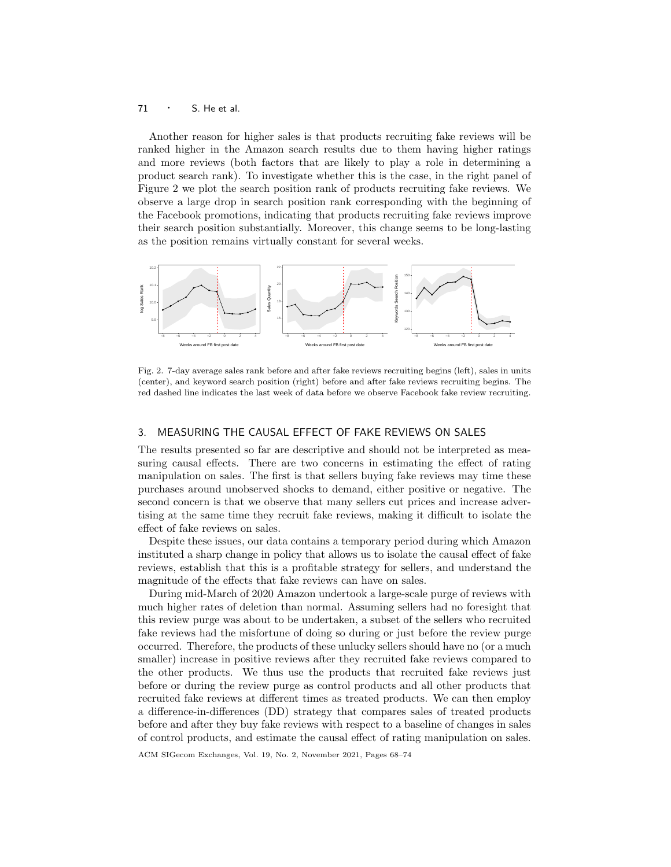## 71 · S. He et al.

Another reason for higher sales is that products recruiting fake reviews will be ranked higher in the Amazon search results due to them having higher ratings and more reviews (both factors that are likely to play a role in determining a product search rank). To investigate whether this is the case, in the right panel of Figure 2 we plot the search position rank of products recruiting fake reviews. We observe a large drop in search position rank corresponding with the beginning of the Facebook promotions, indicating that products recruiting fake reviews improve their search position substantially. Moreover, this change seems to be long-lasting as the position remains virtually constant for several weeks.



Fig. 2. 7-day average sales rank before and after fake reviews recruiting begins (left), sales in units (center), and keyword search position (right) before and after fake reviews recruiting begins. The red dashed line indicates the last week of data before we observe Facebook fake review recruiting.

# 3. MEASURING THE CAUSAL EFFECT OF FAKE REVIEWS ON SALES

The results presented so far are descriptive and should not be interpreted as measuring causal effects. There are two concerns in estimating the effect of rating manipulation on sales. The first is that sellers buying fake reviews may time these purchases around unobserved shocks to demand, either positive or negative. The second concern is that we observe that many sellers cut prices and increase advertising at the same time they recruit fake reviews, making it difficult to isolate the effect of fake reviews on sales.

Despite these issues, our data contains a temporary period during which Amazon instituted a sharp change in policy that allows us to isolate the causal effect of fake reviews, establish that this is a profitable strategy for sellers, and understand the magnitude of the effects that fake reviews can have on sales.

During mid-March of 2020 Amazon undertook a large-scale purge of reviews with much higher rates of deletion than normal. Assuming sellers had no foresight that this review purge was about to be undertaken, a subset of the sellers who recruited fake reviews had the misfortune of doing so during or just before the review purge occurred. Therefore, the products of these unlucky sellers should have no (or a much smaller) increase in positive reviews after they recruited fake reviews compared to the other products. We thus use the products that recruited fake reviews just before or during the review purge as control products and all other products that recruited fake reviews at different times as treated products. We can then employ a difference-in-differences (DD) strategy that compares sales of treated products before and after they buy fake reviews with respect to a baseline of changes in sales of control products, and estimate the causal effect of rating manipulation on sales.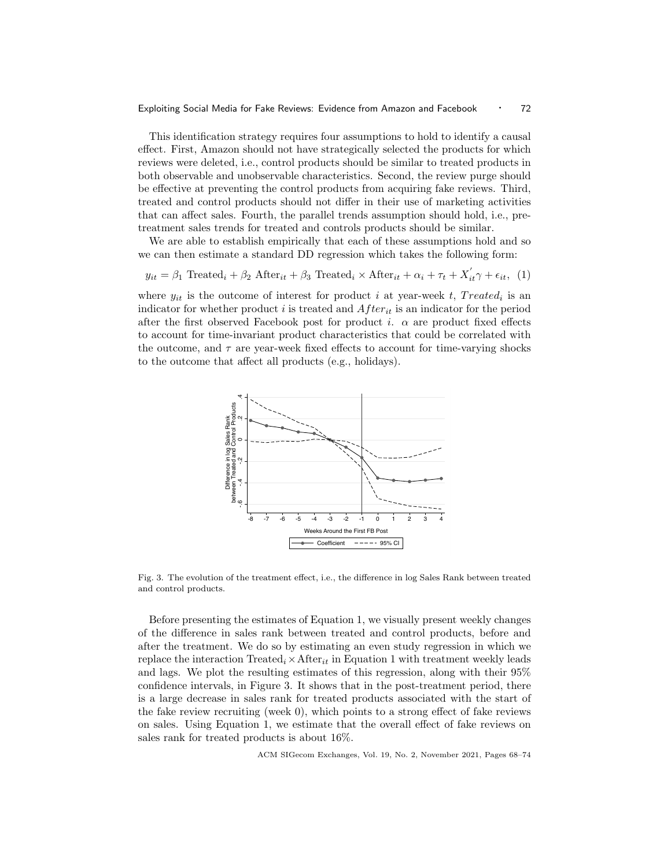#### Exploiting Social Media for Fake Reviews: Evidence from Amazon and Facebook · 72

This identification strategy requires four assumptions to hold to identify a causal effect. First, Amazon should not have strategically selected the products for which reviews were deleted, i.e., control products should be similar to treated products in both observable and unobservable characteristics. Second, the review purge should be effective at preventing the control products from acquiring fake reviews. Third, treated and control products should not differ in their use of marketing activities that can affect sales. Fourth, the parallel trends assumption should hold, i.e., pretreatment sales trends for treated and controls products should be similar.

We are able to establish empirically that each of these assumptions hold and so we can then estimate a standard DD regression which takes the following form:

$$
y_{it} = \beta_1 \text{ Treated}_i + \beta_2 \text{ After}_{it} + \beta_3 \text{ Treated}_i \times \text{ After}_{it} + \alpha_i + \tau_t + X_{it}' \gamma + \epsilon_{it}, \tag{1}
$$

where  $y_{it}$  is the outcome of interest for product i at year-week t, Treated<sub>i</sub> is an indicator for whether product i is treated and  $After_{it}$  is an indicator for the period after the first observed Facebook post for product i.  $\alpha$  are product fixed effects to account for time-invariant product characteristics that could be correlated with the outcome, and  $\tau$  are year-week fixed effects to account for time-varying shocks to the outcome that affect all products (e.g., holidays).



Fig. 3. The evolution of the treatment effect, i.e., the difference in log Sales Rank between treated and control products.

Before presenting the estimates of Equation 1, we visually present weekly changes of the difference in sales rank between treated and control products, before and after the treatment. We do so by estimating an even study regression in which we replace the interaction Treated<sub>i</sub>  $\times$  After<sub>it</sub> in Equation 1 with treatment weekly leads and lags. We plot the resulting estimates of this regression, along with their 95% confidence intervals, in Figure 3. It shows that in the post-treatment period, there is a large decrease in sales rank for treated products associated with the start of the fake review recruiting (week 0), which points to a strong effect of fake reviews on sales. Using Equation 1, we estimate that the overall effect of fake reviews on sales rank for treated products is about 16%.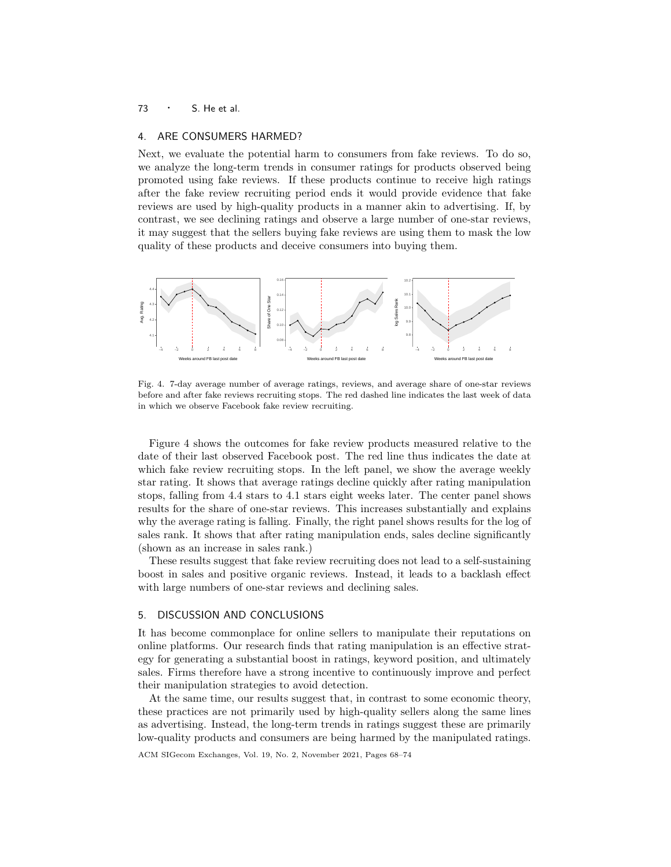# 73 · S. He et al.

### 4. ARE CONSUMERS HARMED?

Next, we evaluate the potential harm to consumers from fake reviews. To do so, we analyze the long-term trends in consumer ratings for products observed being promoted using fake reviews. If these products continue to receive high ratings after the fake review recruiting period ends it would provide evidence that fake reviews are used by high-quality products in a manner akin to advertising. If, by contrast, we see declining ratings and observe a large number of one-star reviews, it may suggest that the sellers buying fake reviews are using them to mask the low quality of these products and deceive consumers into buying them.



Fig. 4. 7-day average number of average ratings, reviews, and average share of one-star reviews before and after fake reviews recruiting stops. The red dashed line indicates the last week of data in which we observe Facebook fake review recruiting.

Figure 4 shows the outcomes for fake review products measured relative to the date of their last observed Facebook post. The red line thus indicates the date at which fake review recruiting stops. In the left panel, we show the average weekly star rating. It shows that average ratings decline quickly after rating manipulation stops, falling from 4.4 stars to 4.1 stars eight weeks later. The center panel shows results for the share of one-star reviews. This increases substantially and explains why the average rating is falling. Finally, the right panel shows results for the log of sales rank. It shows that after rating manipulation ends, sales decline significantly (shown as an increase in sales rank.)

These results suggest that fake review recruiting does not lead to a self-sustaining boost in sales and positive organic reviews. Instead, it leads to a backlash effect with large numbers of one-star reviews and declining sales.

## 5. DISCUSSION AND CONCLUSIONS

It has become commonplace for online sellers to manipulate their reputations on online platforms. Our research finds that rating manipulation is an effective strategy for generating a substantial boost in ratings, keyword position, and ultimately sales. Firms therefore have a strong incentive to continuously improve and perfect their manipulation strategies to avoid detection.

At the same time, our results suggest that, in contrast to some economic theory, these practices are not primarily used by high-quality sellers along the same lines as advertising. Instead, the long-term trends in ratings suggest these are primarily low-quality products and consumers are being harmed by the manipulated ratings.